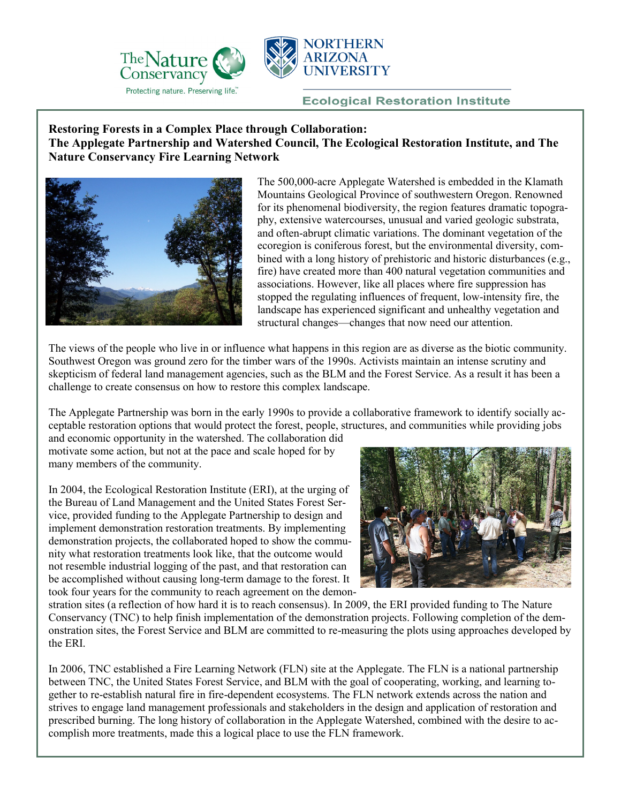



## **Ecological Restoration Institute**

## **Restoring Forests in a Complex Place through Collaboration: The Applegate Partnership and Watershed Council, The Ecological Restoration Institute, and The Nature Conservancy Fire Learning Network**



The 500,000-acre Applegate Watershed is embedded in the Klamath Mountains Geological Province of southwestern Oregon. Renowned for its phenomenal biodiversity, the region features dramatic topography, extensive watercourses, unusual and varied geologic substrata, and often-abrupt climatic variations. The dominant vegetation of the ecoregion is coniferous forest, but the environmental diversity, combined with a long history of prehistoric and historic disturbances (e.g., fire) have created more than 400 natural vegetation communities and associations. However, like all places where fire suppression has stopped the regulating influences of frequent, low-intensity fire, the landscape has experienced significant and unhealthy vegetation and structural changes—changes that now need our attention.

The views of the people who live in or influence what happens in this region are as diverse as the biotic community. Southwest Oregon was ground zero for the timber wars of the 1990s. Activists maintain an intense scrutiny and skepticism of federal land management agencies, such as the BLM and the Forest Service. As a result it has been a challenge to create consensus on how to restore this complex landscape.

The Applegate Partnership was born in the early 1990s to provide a collaborative framework to identify socially acceptable restoration options that would protect the forest, people, structures, and communities while providing jobs

and economic opportunity in the watershed. The collaboration did motivate some action, but not at the pace and scale hoped for by many members of the community.

In 2004, the Ecological Restoration Institute (ERI), at the urging of the Bureau of Land Management and the United States Forest Service, provided funding to the Applegate Partnership to design and implement demonstration restoration treatments. By implementing demonstration projects, the collaborated hoped to show the community what restoration treatments look like, that the outcome would not resemble industrial logging of the past, and that restoration can be accomplished without causing long-term damage to the forest. It took four years for the community to reach agreement on the demon-



stration sites (a reflection of how hard it is to reach consensus). In 2009, the ERI provided funding to The Nature Conservancy (TNC) to help finish implementation of the demonstration projects. Following completion of the demonstration sites, the Forest Service and BLM are committed to re-measuring the plots using approaches developed by the ERI.

In 2006, TNC established a Fire Learning Network (FLN) site at the Applegate. The FLN is a national partnership between TNC, the United States Forest Service, and BLM with the goal of cooperating, working, and learning together to re-establish natural fire in fire-dependent ecosystems. The FLN network extends across the nation and strives to engage land management professionals and stakeholders in the design and application of restoration and prescribed burning. The long history of collaboration in the Applegate Watershed, combined with the desire to accomplish more treatments, made this a logical place to use the FLN framework.